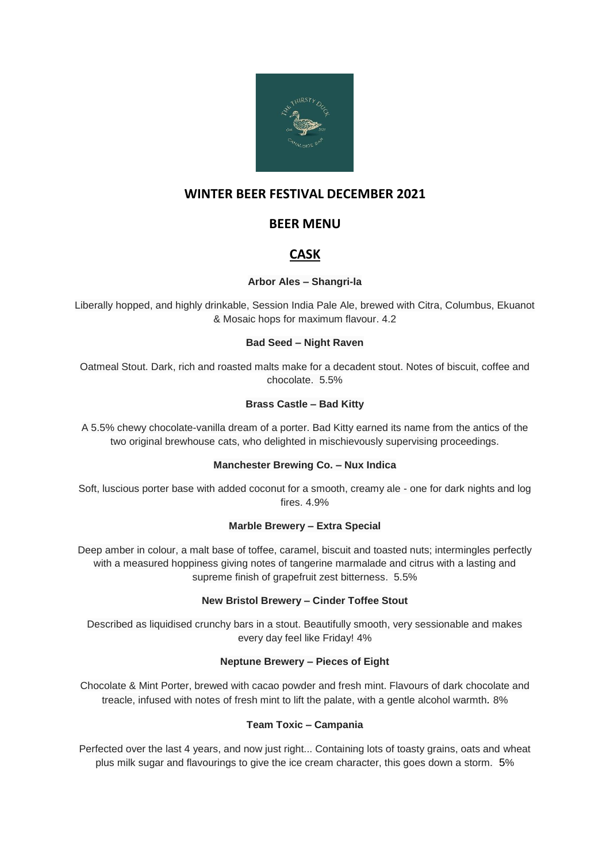

## **WINTER BEER FESTIVAL DECEMBER 2021**

## **BEER MENU**

# **CASK**

## **Arbor Ales – Shangri-la**

Liberally hopped, and highly drinkable, Session India Pale Ale, brewed with Citra, Columbus, Ekuanot & Mosaic hops for maximum flavour. 4.2

#### **Bad Seed – Night Raven**

Oatmeal Stout. Dark, rich and roasted malts make for a decadent stout. Notes of biscuit, coffee and chocolate. 5.5%

## **Brass Castle – Bad Kitty**

A 5.5% chewy chocolate-vanilla dream of a porter. Bad Kitty earned its name from the antics of the two original brewhouse cats, who delighted in mischievously supervising proceedings.

## **Manchester Brewing Co. – Nux Indica**

Soft, luscious porter base with added coconut for a smooth, creamy ale - one for dark nights and log fires. 4.9%

## **Marble Brewery – Extra Special**

Deep amber in colour, a malt base of toffee, caramel, biscuit and toasted nuts; intermingles perfectly with a measured hoppiness giving notes of tangerine marmalade and citrus with a lasting and supreme finish of grapefruit zest bitterness. 5.5%

## **New Bristol Brewery – Cinder Toffee Stout**

Described as liquidised crunchy bars in a stout. Beautifully smooth, very sessionable and makes every day feel like Friday! 4%

## **Neptune Brewery – Pieces of Eight**

Chocolate & Mint Porter, brewed with cacao powder and fresh mint. Flavours of dark chocolate and treacle, infused with notes of fresh mint to lift the palate, with a gentle alcohol warmth*.* 8%

## **Team Toxic – Campania**

Perfected over the last 4 years, and now just right... Containing lots of toasty grains, oats and wheat plus milk sugar and flavourings to give the ice cream character, this goes down a storm. 5%